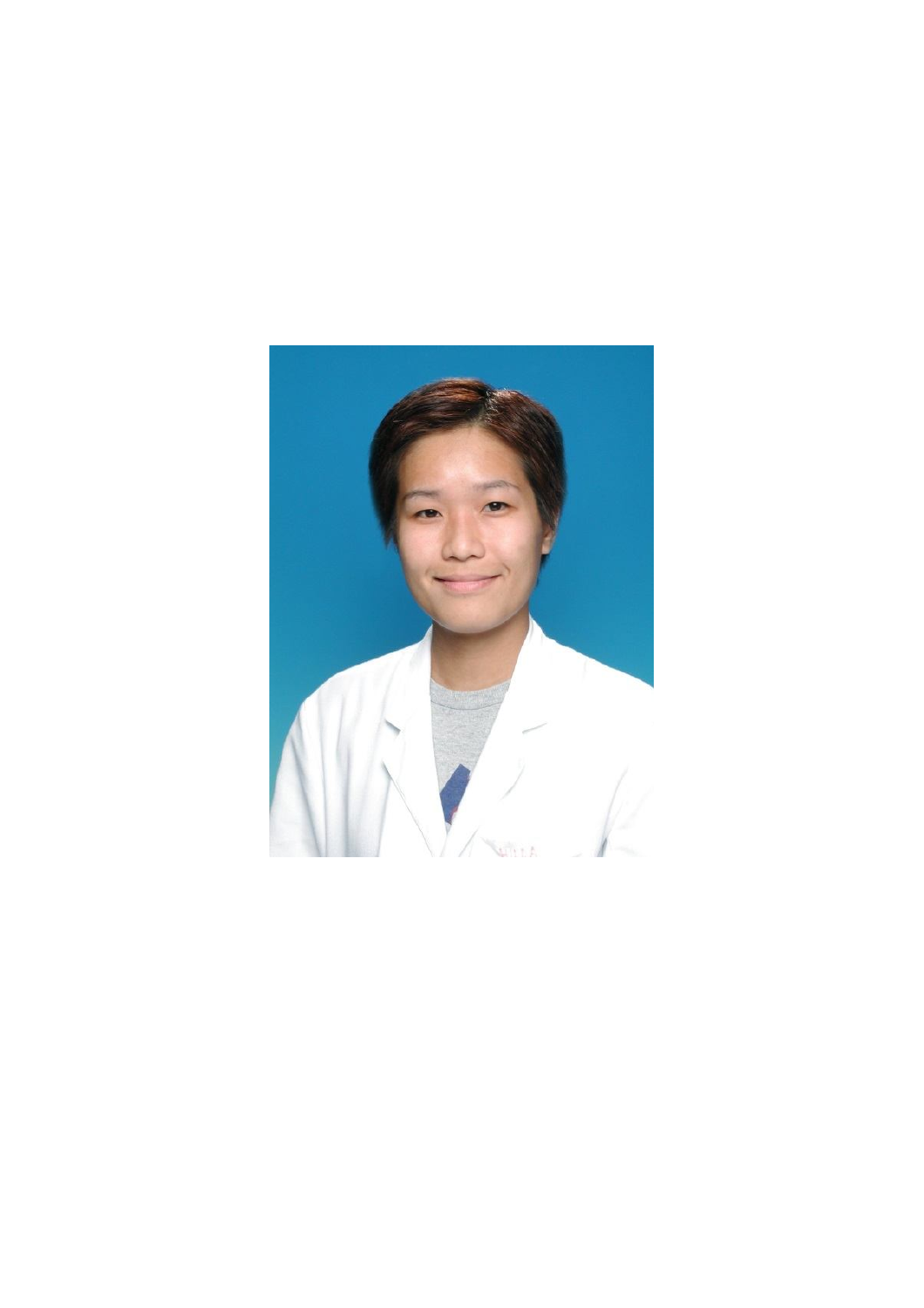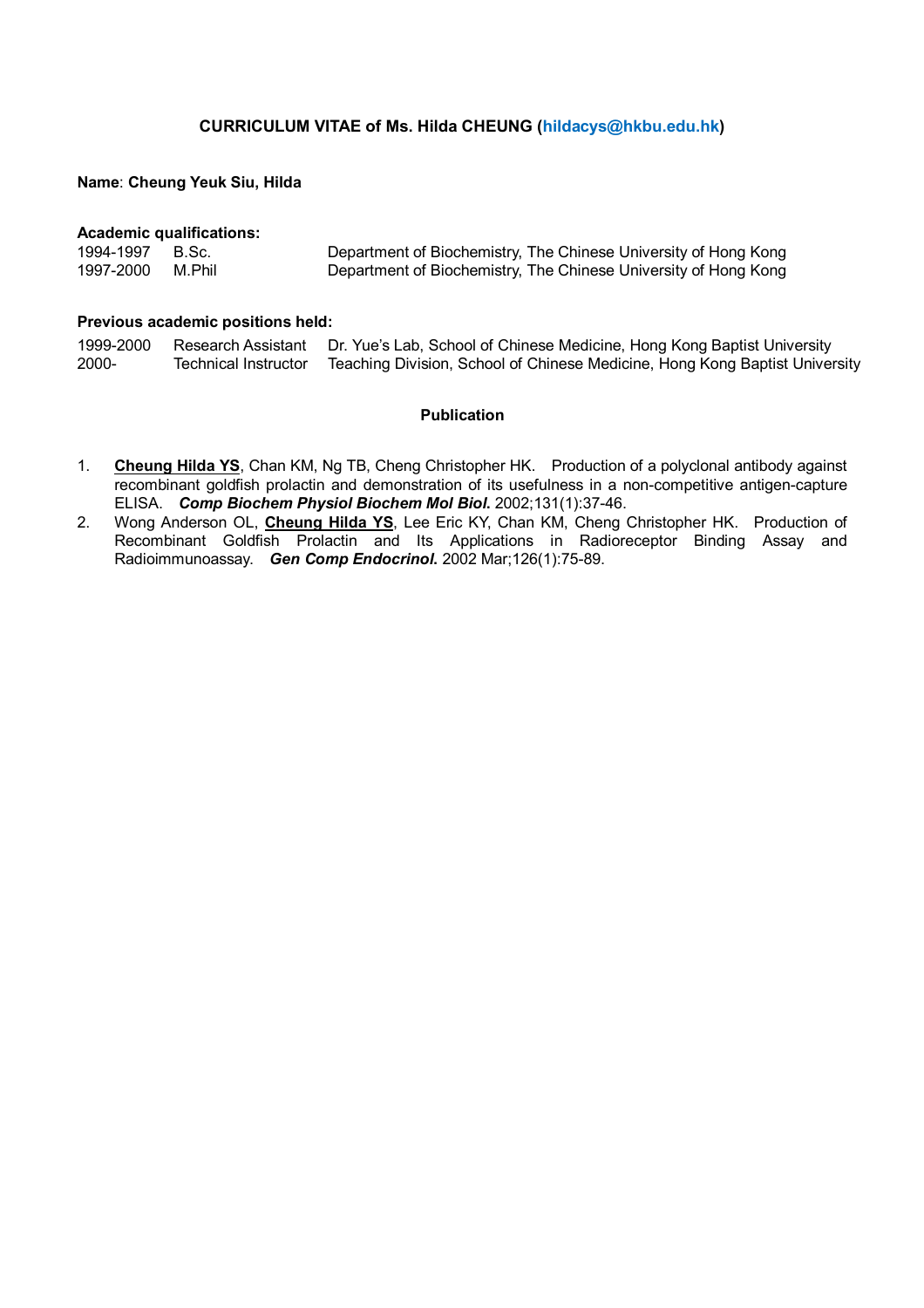## **CURRICULUM VITAE of Ms. Hilda CHEUNG (hildacys@hkbu.edu.hk)**

## **Name**: **Cheung Yeuk Siu, Hilda**

### **Academic qualifications:**

| 1994-1997 B.Sc.  | Department of Biochemistry, The Chinese University of Hong Kong |
|------------------|-----------------------------------------------------------------|
| 1997-2000 M.Phil | Department of Biochemistry, The Chinese University of Hong Kong |

#### **Previous academic positions held:**

1999-2000 Research Assistant Dr. Yue's Lab, School of Chinese Medicine, Hong Kong Baptist University 2000- Technical Instructor Teaching Division, School of Chinese Medicine, Hong Kong Baptist University

#### **Publication**

- 1. **Cheung Hilda YS**, Chan KM, Ng TB, Cheng Christopher HK. Production of a polyclonal antibody against recombinant goldfish prolactin and demonstration of its usefulness in a non-competitive antigen-capture ELISA. *Comp Biochem Physiol Biochem Mol Biol***.** 2002;131(1):37-46.
- 2. Wong Anderson OL, **Cheung Hilda YS**, Lee Eric KY, Chan KM, Cheng Christopher HK. Production of Recombinant Goldfish Prolactin and Its Applications in Radioreceptor Binding Assay and Radioimmunoassay. *Gen Comp Endocrinol***.** 2002 Mar;126(1):75-89.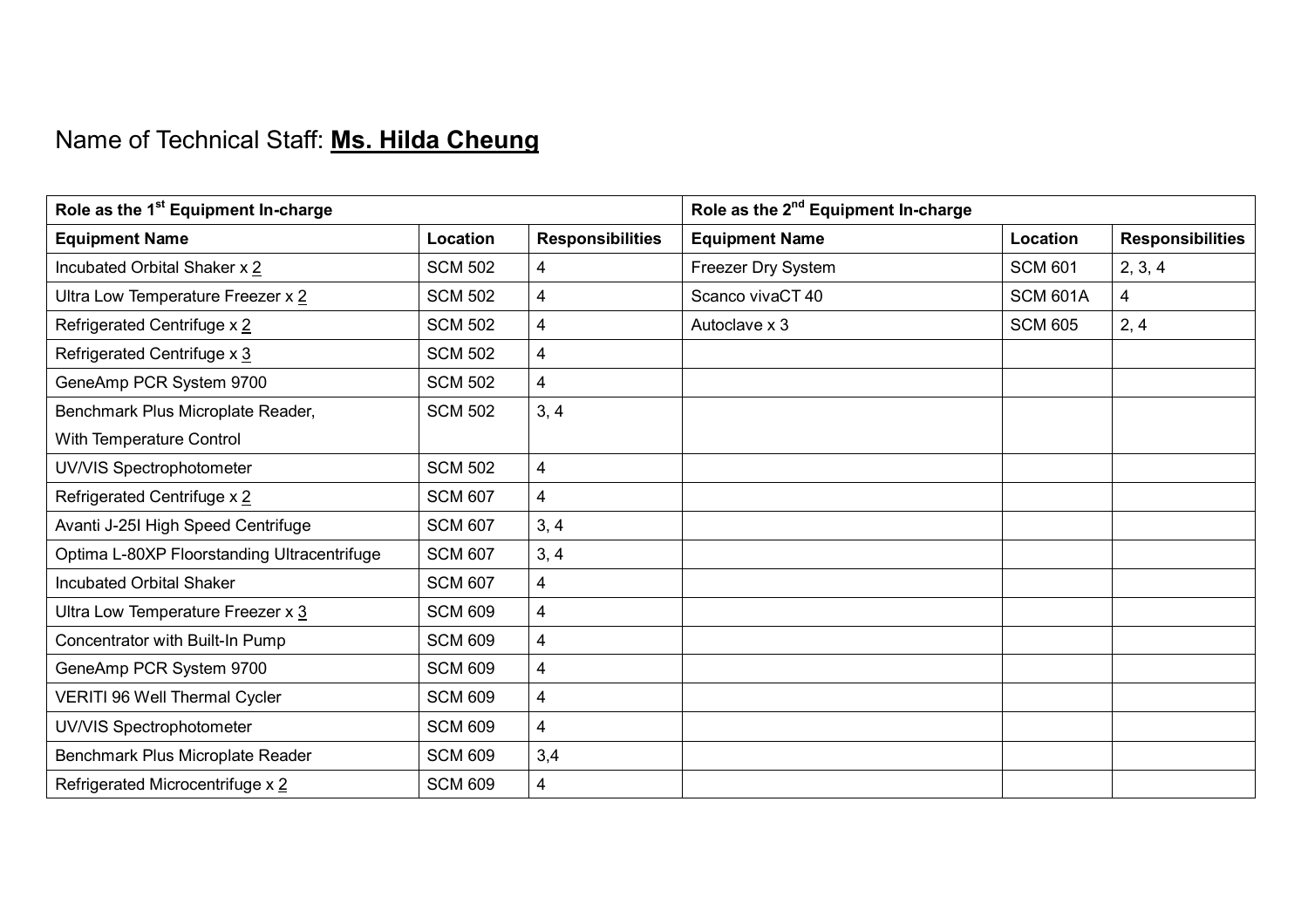# Name of Technical Staff: **Ms. Hilda Cheung**

| Role as the 1 <sup>st</sup> Equipment In-charge | Role as the 2 <sup>nd</sup> Equipment In-charge |                         |                       |                 |                         |
|-------------------------------------------------|-------------------------------------------------|-------------------------|-----------------------|-----------------|-------------------------|
| <b>Equipment Name</b>                           | Location                                        | <b>Responsibilities</b> | <b>Equipment Name</b> | Location        | <b>Responsibilities</b> |
| Incubated Orbital Shaker x 2                    | <b>SCM 502</b>                                  | 4                       | Freezer Dry System    | <b>SCM 601</b>  | 2, 3, 4                 |
| Ultra Low Temperature Freezer x 2               | <b>SCM 502</b>                                  | 4                       | Scanco vivaCT 40      | <b>SCM 601A</b> | 4                       |
| Refrigerated Centrifuge x 2                     | <b>SCM 502</b>                                  | 4                       | Autoclave x 3         | <b>SCM 605</b>  | 2, 4                    |
| Refrigerated Centrifuge x 3                     | <b>SCM 502</b>                                  | 4                       |                       |                 |                         |
| GeneAmp PCR System 9700                         | <b>SCM 502</b>                                  | $\overline{\mathbf{4}}$ |                       |                 |                         |
| Benchmark Plus Microplate Reader,               | <b>SCM 502</b>                                  | 3, 4                    |                       |                 |                         |
| With Temperature Control                        |                                                 |                         |                       |                 |                         |
| UV/VIS Spectrophotometer                        | <b>SCM 502</b>                                  | 4                       |                       |                 |                         |
| Refrigerated Centrifuge x 2                     | <b>SCM 607</b>                                  | 4                       |                       |                 |                         |
| Avanti J-25I High Speed Centrifuge              | <b>SCM 607</b>                                  | 3, 4                    |                       |                 |                         |
| Optima L-80XP Floorstanding Ultracentrifuge     | <b>SCM 607</b>                                  | 3, 4                    |                       |                 |                         |
| <b>Incubated Orbital Shaker</b>                 | <b>SCM 607</b>                                  | $\overline{4}$          |                       |                 |                         |
| Ultra Low Temperature Freezer x 3               | <b>SCM 609</b>                                  | 4                       |                       |                 |                         |
| Concentrator with Built-In Pump                 | <b>SCM 609</b>                                  | $\overline{\mathbf{4}}$ |                       |                 |                         |
| GeneAmp PCR System 9700                         | <b>SCM 609</b>                                  | $\overline{\mathbf{4}}$ |                       |                 |                         |
| VERITI 96 Well Thermal Cycler                   | <b>SCM 609</b>                                  | $\overline{\mathbf{4}}$ |                       |                 |                         |
| UV/VIS Spectrophotometer                        | <b>SCM 609</b>                                  | 4                       |                       |                 |                         |
| Benchmark Plus Microplate Reader                | <b>SCM 609</b>                                  | 3,4                     |                       |                 |                         |
| Refrigerated Microcentrifuge x 2                | <b>SCM 609</b>                                  | 4                       |                       |                 |                         |